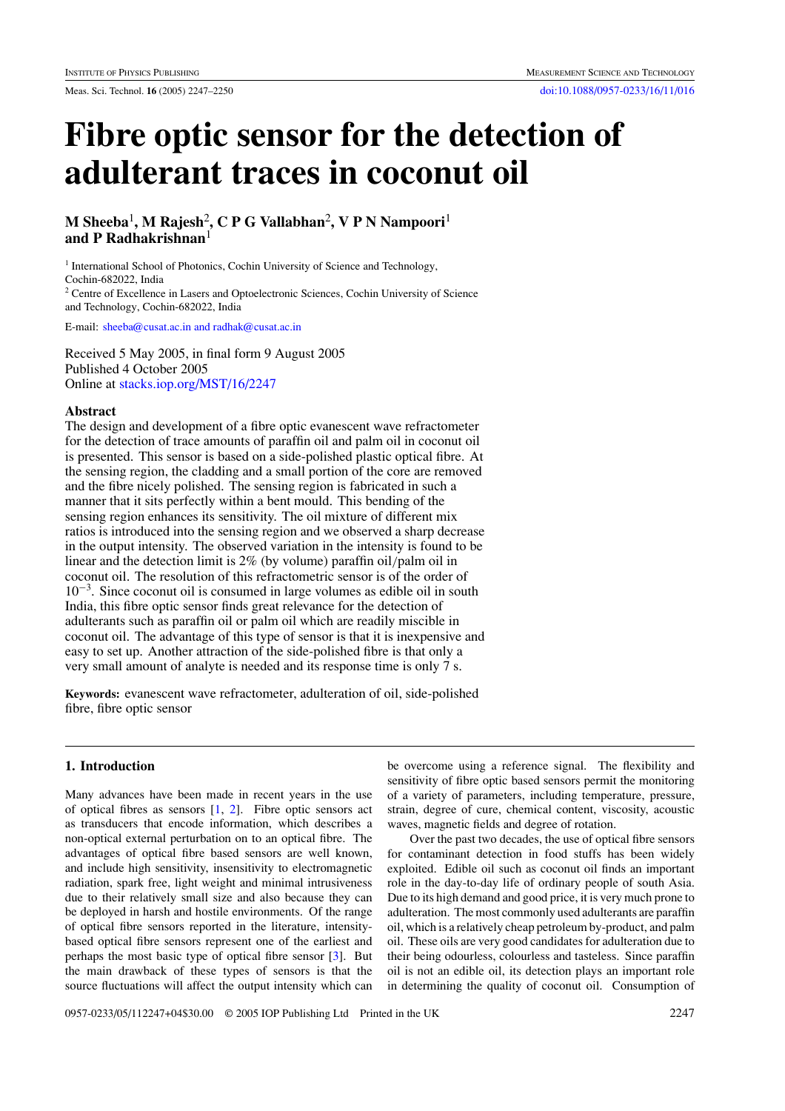# **Fibre optic sensor for the detection of adulterant traces in coconut oil**

# **M Sheeba**1**, M Rajesh**2**, C P G Vallabhan**2**, V P N Nampoori**<sup>1</sup> **and P Radhakrishnan**<sup>1</sup>

<sup>1</sup> International School of Photonics, Cochin University of Science and Technology, Cochin-682022, India <sup>2</sup> Centre of Excellence in Lasers and Optoelectronic Sciences, Cochin University of Science and Technology, Cochin-682022, India

E-mail: [sheeba@cusat.ac.in and radhak@cusat.ac.in](mailto:sheeba@cusat.ac.in and radhak@cusat.ac.in)

Received 5 May 2005, in final form 9 August 2005 Published 4 October 2005 Online at [stacks.iop.org/MST/16/2247](http://stacks.iop.org/MST/16/2247)

#### **Abstract**

The design and development of a fibre optic evanescent wave refractometer for the detection of trace amounts of paraffin oil and palm oil in coconut oil is presented. This sensor is based on a side-polished plastic optical fibre. At the sensing region, the cladding and a small portion of the core are removed and the fibre nicely polished. The sensing region is fabricated in such a manner that it sits perfectly within a bent mould. This bending of the sensing region enhances its sensitivity. The oil mixture of different mix ratios is introduced into the sensing region and we observed a sharp decrease in the output intensity. The observed variation in the intensity is found to be linear and the detection limit is 2% (by volume) paraffin oil*/*palm oil in coconut oil. The resolution of this refractometric sensor is of the order of 10−<sup>3</sup> . Since coconut oil is consumed in large volumes as edible oil in south India, this fibre optic sensor finds great relevance for the detection of adulterants such as paraffin oil or palm oil which are readily miscible in coconut oil. The advantage of this type of sensor is that it is inexpensive and easy to set up. Another attraction of the side-polished fibre is that only a very small amount of analyte is needed and its response time is only 7 s.

**Keywords:** evanescent wave refractometer, adulteration of oil, side-polished fibre, fibre optic sensor

### **1. Introduction**

Many advances have been made in recent years in the use of optical fibres as sensors  $[1, 2]$  $[1, 2]$  $[1, 2]$ . Fibre optic sensors act as transducers that encode information, which describes a non-optical external perturbation on to an optical fibre. The advantages of optical fibre based sensors are well known, and include high sensitivity, insensitivity to electromagnetic radiation, spark free, light weight and minimal intrusiveness due to their relatively small size and also because they can be deployed in harsh and hostile environments. Of the range of optical fibre sensors reported in the literature, intensitybased optical fibre sensors represent one of the earliest and perhaps the most basic type of optical fibre sensor [\[3\]](#page-3-0). But the main drawback of these types of sensors is that the source fluctuations will affect the output intensity which can

be overcome using a reference signal. The flexibility and sensitivity of fibre optic based sensors permit the monitoring of a variety of parameters, including temperature, pressure, strain, degree of cure, chemical content, viscosity, acoustic waves, magnetic fields and degree of rotation.

Over the past two decades, the use of optical fibre sensors for contaminant detection in food stuffs has been widely exploited. Edible oil such as coconut oil finds an important role in the day-to-day life of ordinary people of south Asia. Due to its high demand and good price, it is very much prone to adulteration. The most commonly used adulterants are paraffin oil, which is a relatively cheap petroleum by-product, and palm oil. These oils are very good candidates for adulteration due to their being odourless, colourless and tasteless. Since paraffin oil is not an edible oil, its detection plays an important role in determining the quality of coconut oil. Consumption of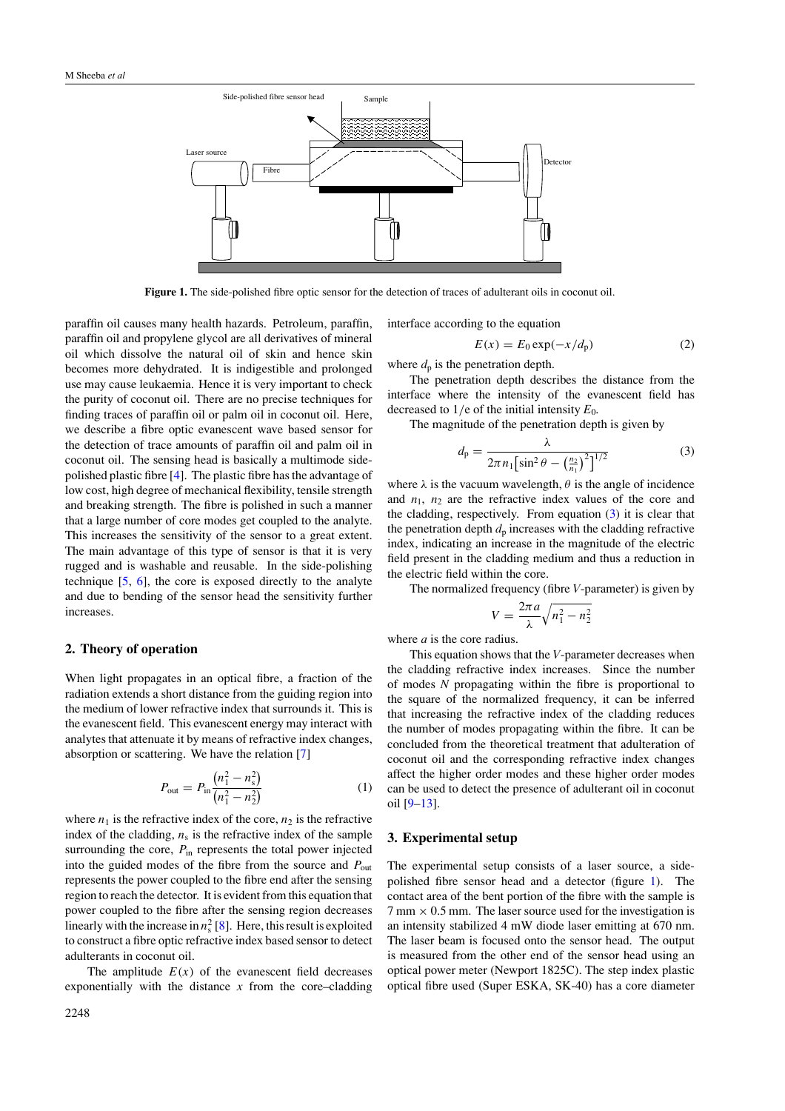<span id="page-1-0"></span>

**Figure 1.** The side-polished fibre optic sensor for the detection of traces of adulterant oils in coconut oil.

paraffin oil causes many health hazards. Petroleum, paraffin, paraffin oil and propylene glycol are all derivatives of mineral oil which dissolve the natural oil of skin and hence skin becomes more dehydrated. It is indigestible and prolonged use may cause leukaemia. Hence it is very important to check the purity of coconut oil. There are no precise techniques for finding traces of paraffin oil or palm oil in coconut oil. Here, we describe a fibre optic evanescent wave based sensor for the detection of trace amounts of paraffin oil and palm oil in coconut oil. The sensing head is basically a multimode sidepolished plastic fibre [\[4](#page-3-0)]. The plastic fibre has the advantage of low cost, high degree of mechanical flexibility, tensile strength and breaking strength. The fibre is polished in such a manner that a large number of core modes get coupled to the analyte. This increases the sensitivity of the sensor to a great extent. The main advantage of this type of sensor is that it is very rugged and is washable and reusable. In the side-polishing technique  $[5, 6]$  $[5, 6]$  $[5, 6]$  $[5, 6]$ , the core is exposed directly to the analyte and due to bending of the sensor head the sensitivity further increases.

#### **2. Theory of operation**

When light propagates in an optical fibre, a fraction of the radiation extends a short distance from the guiding region into the medium of lower refractive index that surrounds it. This is the evanescent field. This evanescent energy may interact with analytes that attenuate it by means of refractive index changes, absorption or scattering. We have the relation [\[7](#page-3-0)]

$$
P_{\text{out}} = P_{\text{in}} \frac{\left(n_1^2 - n_s^2\right)}{\left(n_1^2 - n_2^2\right)}\tag{1}
$$

where  $n_1$  is the refractive index of the core,  $n_2$  is the refractive index of the cladding,  $n_s$  is the refractive index of the sample surrounding the core,  $P_{\text{in}}$  represents the total power injected into the guided modes of the fibre from the source and *P*out represents the power coupled to the fibre end after the sensing region to reach the detector. It is evident from this equation that power coupled to the fibre after the sensing region decreases linearly with the increase in  $n_s^2$  [\[8\]](#page-3-0). Here, this result is exploited to construct a fibre optic refractive index based sensor to detect adulterants in coconut oil.

The amplitude  $E(x)$  of the evanescent field decreases exponentially with the distance *x* from the core–cladding interface according to the equation

$$
E(x) = E_0 \exp(-x/d_p) \tag{2}
$$

where  $d_p$  is the penetration depth.

The penetration depth describes the distance from the interface where the intensity of the evanescent field has decreased to  $1/e$  of the initial intensity  $E_0$ .

The magnitude of the penetration depth is given by

$$
d_{\rm p} = \frac{\lambda}{2\pi n_1 \left[ \sin^2 \theta - \left(\frac{n_2}{n_1}\right)^2 \right]^{1/2}}\tag{3}
$$

where  $\lambda$  is the vacuum wavelength,  $\theta$  is the angle of incidence and  $n_1$ ,  $n_2$  are the refractive index values of the core and the cladding, respectively. From equation  $(3)$  it is clear that the penetration depth  $d_p$  increases with the cladding refractive index, indicating an increase in the magnitude of the electric field present in the cladding medium and thus a reduction in the electric field within the core.

The normalized frequency (fibre *V*-parameter) is given by

$$
V = \frac{2\pi a}{\lambda} \sqrt{n_1^2 - n_2^2}
$$

where *a* is the core radius.

This equation shows that the *V*-parameter decreases when the cladding refractive index increases. Since the number of modes *N* propagating within the fibre is proportional to the square of the normalized frequency, it can be inferred that increasing the refractive index of the cladding reduces the number of modes propagating within the fibre. It can be concluded from the theoretical treatment that adulteration of coconut oil and the corresponding refractive index changes affect the higher order modes and these higher order modes can be used to detect the presence of adulterant oil in coconut oil [\[9–13](#page-3-0)].

#### **3. Experimental setup**

The experimental setup consists of a laser source, a sidepolished fibre sensor head and a detector (figure 1). The contact area of the bent portion of the fibre with the sample is  $7 \text{ mm} \times 0.5 \text{ mm}$ . The laser source used for the investigation is an intensity stabilized 4 mW diode laser emitting at 670 nm. The laser beam is focused onto the sensor head. The output is measured from the other end of the sensor head using an optical power meter (Newport 1825C). The step index plastic optical fibre used (Super ESKA, SK-40) has a core diameter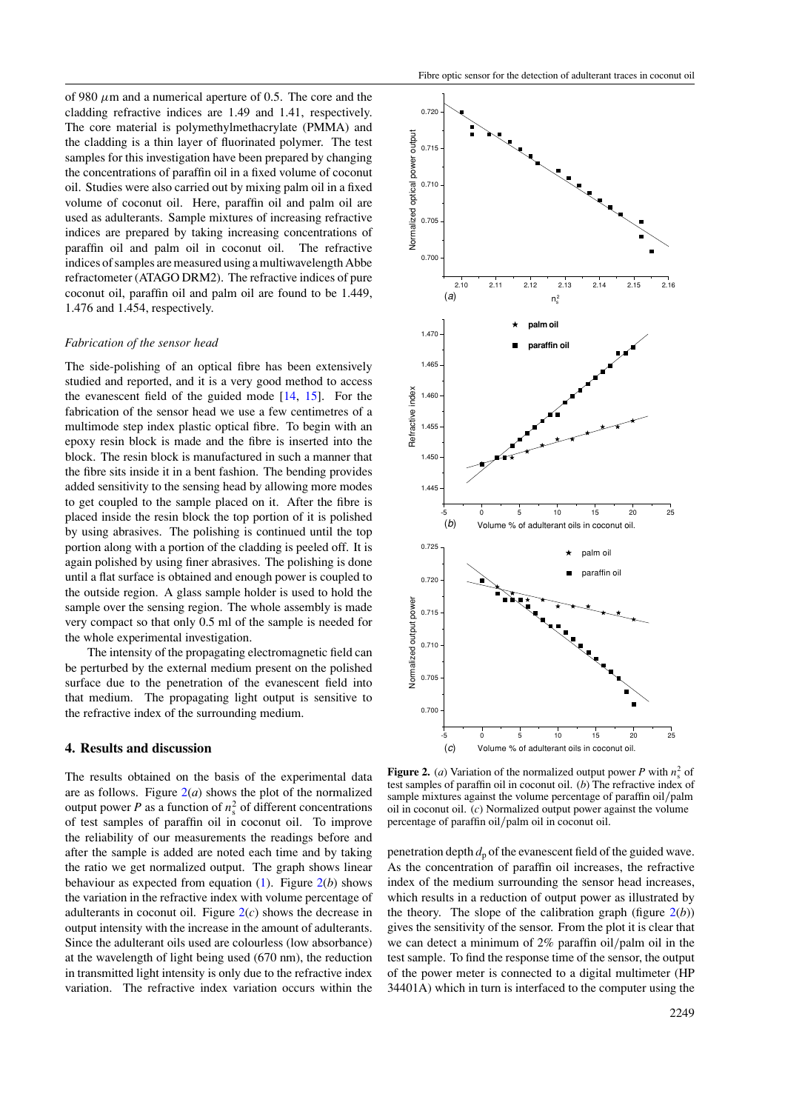of 980  $\mu$ m and a numerical aperture of 0.5. The core and the cladding refractive indices are 1.49 and 1.41, respectively. The core material is polymethylmethacrylate (PMMA) and the cladding is a thin layer of fluorinated polymer. The test samples for this investigation have been prepared by changing the concentrations of paraffin oil in a fixed volume of coconut oil. Studies were also carried out by mixing palm oil in a fixed volume of coconut oil. Here, paraffin oil and palm oil are used as adulterants. Sample mixtures of increasing refractive indices are prepared by taking increasing concentrations of paraffin oil and palm oil in coconut oil. The refractive indices of samples are measured using a multiwavelength Abbe refractometer (ATAGO DRM2). The refractive indices of pure coconut oil, paraffin oil and palm oil are found to be 1.449, 1.476 and 1.454, respectively.

#### *Fabrication of the sensor head*

The side-polishing of an optical fibre has been extensively studied and reported, and it is a very good method to access the evanescent field of the guided mode [\[14](#page-3-0), [15\]](#page-3-0). For the fabrication of the sensor head we use a few centimetres of a multimode step index plastic optical fibre. To begin with an epoxy resin block is made and the fibre is inserted into the block. The resin block is manufactured in such a manner that the fibre sits inside it in a bent fashion. The bending provides added sensitivity to the sensing head by allowing more modes to get coupled to the sample placed on it. After the fibre is placed inside the resin block the top portion of it is polished by using abrasives. The polishing is continued until the top portion along with a portion of the cladding is peeled off. It is again polished by using finer abrasives. The polishing is done until a flat surface is obtained and enough power is coupled to the outside region. A glass sample holder is used to hold the sample over the sensing region. The whole assembly is made very compact so that only 0.5 ml of the sample is needed for the whole experimental investigation.

The intensity of the propagating electromagnetic field can be perturbed by the external medium present on the polished surface due to the penetration of the evanescent field into that medium. The propagating light output is sensitive to the refractive index of the surrounding medium.

## **4. Results and discussion**

The results obtained on the basis of the experimental data are as follows. Figure  $2(a)$  shows the plot of the normalized output power *P* as a function of  $n_s^2$  of different concentrations of test samples of paraffin oil in coconut oil. To improve the reliability of our measurements the readings before and after the sample is added are noted each time and by taking the ratio we get normalized output. The graph shows linear behaviour as expected from equation [\(1\)](#page-1-0). Figure 2(*b*) shows the variation in the refractive index with volume percentage of adulterants in coconut oil. Figure  $2(c)$  shows the decrease in output intensity with the increase in the amount of adulterants. Since the adulterant oils used are colourless (low absorbance) at the wavelength of light being used (670 nm), the reduction in transmitted light intensity is only due to the refractive index variation. The refractive index variation occurs within the



**Figure 2.** (*a*) Variation of the normalized output power *P* with  $n_s^2$  of test samples of paraffin oil in coconut oil. (*b*) The refractive index of sample mixtures against the volume percentage of paraffin oil*/*palm oil in coconut oil. (*c*) Normalized output power against the volume percentage of paraffin oil*/*palm oil in coconut oil.

penetration depth  $d<sub>p</sub>$  of the evanescent field of the guided wave. As the concentration of paraffin oil increases, the refractive index of the medium surrounding the sensor head increases, which results in a reduction of output power as illustrated by the theory. The slope of the calibration graph (figure  $2(b)$ ) gives the sensitivity of the sensor. From the plot it is clear that we can detect a minimum of 2% paraffin oil*/*palm oil in the test sample. To find the response time of the sensor, the output of the power meter is connected to a digital multimeter (HP 34401A) which in turn is interfaced to the computer using the